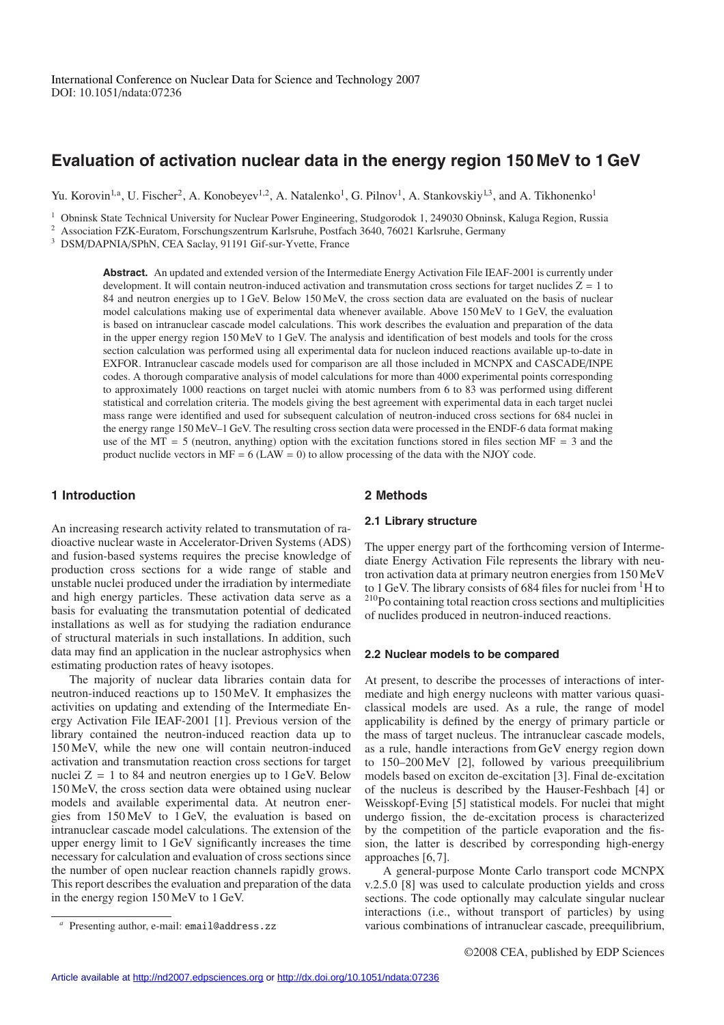# **Evaluation of activation nuclear data in the energy region 150 MeV to 1 GeV**

Yu. Korovin<sup>1,a</sup>, U. Fischer<sup>2</sup>, A. Konobeyev<sup>1,2</sup>, A. Natalenko<sup>1</sup>, G. Pilnov<sup>1</sup>, A. Stankovskiy<sup>1,3</sup>, and A. Tikhonenko<sup>1</sup>

<sup>1</sup> Obninsk State Technical University for Nuclear Power Engineering, Studgorodok 1, 249030 Obninsk, Kaluga Region, Russia

<sup>2</sup> Association FZK-Euratom, Forschungszentrum Karlsruhe, Postfach 3640, 76021 Karlsruhe, Germany

<sup>3</sup> DSM/DAPNIA/SPhN, CEA Saclay, 91191 Gif-sur-Yvette, France

**Abstract.** An updated and extended version of the Intermediate Energy Activation File IEAF-2001 is currently under development. It will contain neutron-induced activation and transmutation cross sections for target nuclides  $Z = 1$  to 84 and neutron energies up to 1 GeV. Below 150 MeV, the cross section data are evaluated on the basis of nuclear model calculations making use of experimental data whenever available. Above 150 MeV to 1 GeV, the evaluation is based on intranuclear cascade model calculations. This work describes the evaluation and preparation of the data in the upper energy region 150 MeV to 1 GeV. The analysis and identification of best models and tools for the cross section calculation was performed using all experimental data for nucleon induced reactions available up-to-date in EXFOR. Intranuclear cascade models used for comparison are all those included in MCNPX and CASCADE/INPE codes. A thorough comparative analysis of model calculations for more than 4000 experimental points corresponding to approximately 1000 reactions on target nuclei with atomic numbers from 6 to 83 was performed using different statistical and correlation criteria. The models giving the best agreement with experimental data in each target nuclei mass range were identified and used for subsequent calculation of neutron-induced cross sections for 684 nuclei in the energy range 150 MeV–1 GeV. The resulting cross section data were processed in the ENDF-6 data format making use of the MT = 5 (neutron, anything) option with the excitation functions stored in files section MF = 3 and the product nuclide vectors in  $MF = 6$  (LAW = 0) to allow processing of the data with the NJOY code.

# **1 Introduction**

**2 Methods**

An increasing research activity related to transmutation of radioactive nuclear waste in Accelerator-Driven Systems (ADS) and fusion-based systems requires the precise knowledge of production cross sections for a wide range of stable and unstable nuclei produced under the irradiation by intermediate and high energy particles. These activation data serve as a basis for evaluating the transmutation potential of dedicated installations as well as for studying the radiation endurance of structural materials in such installations. In addition, such data may find an application in the nuclear astrophysics when estimating production rates of heavy isotopes.

The majority of nuclear data libraries contain data for neutron-induced reactions up to 150 MeV. It emphasizes the activities on updating and extending of the Intermediate Energy Activation File IEAF-2001 [1]. Previous version of the library contained the neutron-induced reaction data up to 150 MeV, while the new one will contain neutron-induced activation and transmutation reaction cross sections for target nuclei  $Z = 1$  to 84 and neutron energies up to 1 GeV. Below 150 MeV, the cross section data were obtained using nuclear models and available experimental data. At neutron energies from 150 MeV to 1 GeV, the evaluation is based on intranuclear cascade model calculations. The extension of the upper energy limit to 1 GeV significantly increases the time necessary for calculation and evaluation of cross sections since the number of open nuclear reaction channels rapidly grows. This report describes the evaluation and preparation of the data in the energy region 150 MeV to 1 GeV.

# **2.1 Library structure**

The upper energy part of the forthcoming version of Intermediate Energy Activation File represents the library with neutron activation data at primary neutron energies from 150 MeV to 1 GeV. The library consists of 684 files for nuclei from <sup>1</sup>H to 210Po containing total reaction cross sections and multiplicities of nuclides produced in neutron-induced reactions.

#### **2.2 Nuclear models to be compared**

At present, to describe the processes of interactions of intermediate and high energy nucleons with matter various quasiclassical models are used. As a rule, the range of model applicability is defined by the energy of primary particle or the mass of target nucleus. The intranuclear cascade models, as a rule, handle interactions from GeV energy region down to 150–200 MeV [2], followed by various preequilibrium models based on exciton de-excitation [3]. Final de-excitation of the nucleus is described by the Hauser-Feshbach [4] or Weisskopf-Eving [5] statistical models. For nuclei that might undergo fission, the de-excitation process is characterized by the competition of the particle evaporation and the fission, the latter is described by corresponding high-energy approaches [6, 7].

A general-purpose Monte Carlo transport code MCNPX v.2.5.0 [8] was used to calculate production yields and cross sections. The code optionally may calculate singular nuclear interactions (i.e., without transport of particles) by using various combinations of intranuclear cascade, preequilibrium,

Presenting author, e-mail: email@address.zz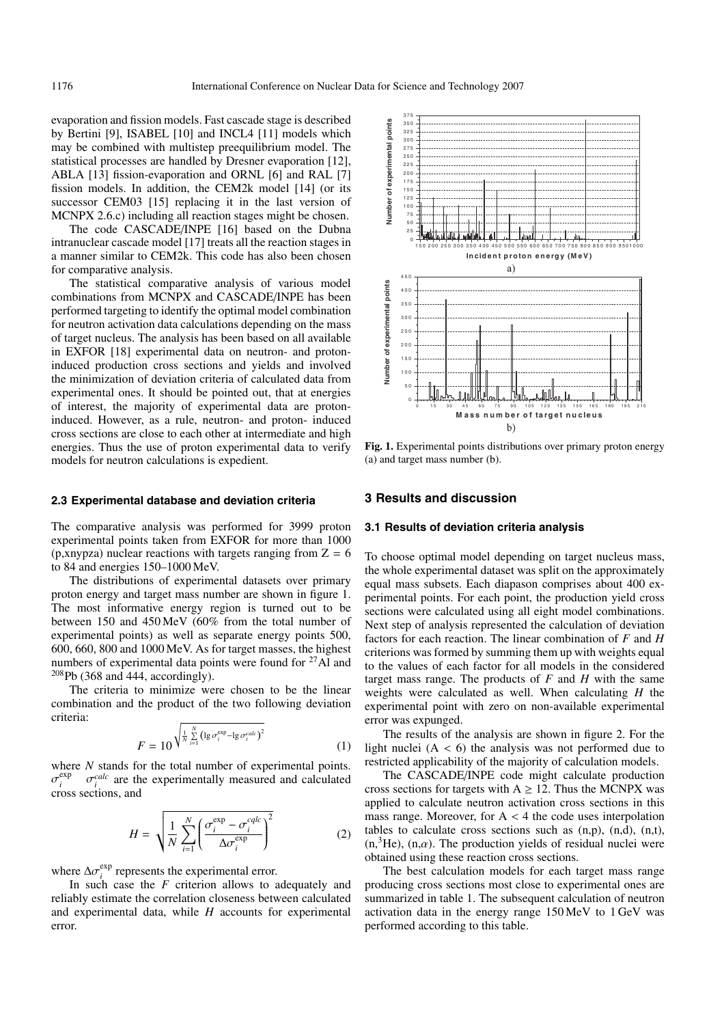evaporation and fission models. Fast cascade stage is described by Bertini [9], ISABEL [10] and INCL4 [11] models which may be combined with multistep preequilibrium model. The statistical processes are handled by Dresner evaporation [12], ABLA [13] fission-evaporation and ORNL [6] and RAL [7] fission models. In addition, the CEM2k model [14] (or its successor CEM03 [15] replacing it in the last version of MCNPX 2.6.c) including all reaction stages might be chosen.

The code CASCADE/INPE [16] based on the Dubna intranuclear cascade model [17] treats all the reaction stages in a manner similar to CEM2k. This code has also been chosen for comparative analysis.

The statistical comparative analysis of various model combinations from MCNPX and CASCADE/INPE has been performed targeting to identify the optimal model combination for neutron activation data calculations depending on the mass of target nucleus. The analysis has been based on all available in EXFOR [18] experimental data on neutron- and protoninduced production cross sections and yields and involved the minimization of deviation criteria of calculated data from experimental ones. It should be pointed out, that at energies of interest, the majority of experimental data are protoninduced. However, as a rule, neutron- and proton- induced cross sections are close to each other at intermediate and high energies. Thus the use of proton experimental data to verify models for neutron calculations is expedient.

#### **2.3 Experimental database and deviation criteria**

The comparative analysis was performed for 3999 proton experimental points taken from EXFOR for more than 1000 (p,xnypza) nuclear reactions with targets ranging from  $Z = 6$ to 84 and energies 150–1000 MeV.

The distributions of experimental datasets over primary proton energy and target mass number are shown in figure 1. The most informative energy region is turned out to be between 150 and 450 MeV (60% from the total number of experimental points) as well as separate energy points 500, 600, 660, 800 and 1000 MeV. As for target masses, the highest numbers of experimental data points were found for  $27$  Al and  $208$  Pb (368 and 444, accordingly).

The criteria to minimize were chosen to be the linear combination and the product of the two following deviation criteria:

$$
F = 10^{\sqrt{\frac{1}{N} \sum\limits_{i=1}^{N} \left(\lg \sigma_i^{\text{exp}} - \lg \sigma_i^{\text{calc}}\right)^2}}
$$
(1)

where *N* stands for the total number of experimental points.  $\sigma_i^{\text{exp}}$   $\sigma_i^{\text{calc}}$  are the experimentally measured and calculated cross sections, and

$$
H = \sqrt{\frac{1}{N} \sum_{i=1}^{N} \left( \frac{\sigma_i^{\exp} - \sigma_i^{cqlc}}{\Delta \sigma_i^{\exp}} \right)^2}
$$
 (2)

where  $\Delta \sigma_i^{\text{exp}}$  represents the experimental error.

In such case the *F* criterion allows to adequately and reliably estimate the correlation closeness between calculated and experimental data, while *H* accounts for experimental error.



**Fig. 1.** Experimental points distributions over primary proton energy (a) and target mass number (b).

#### **3 Results and discussion**

#### **3.1 Results of deviation criteria analysis**

To choose optimal model depending on target nucleus mass, the whole experimental dataset was split on the approximately equal mass subsets. Each diapason comprises about 400 experimental points. For each point, the production yield cross sections were calculated using all eight model combinations. Next step of analysis represented the calculation of deviation factors for each reaction. The linear combination of *F* and *H* criterions was formed by summing them up with weights equal to the values of each factor for all models in the considered target mass range. The products of  $F$  and  $H$  with the same weights were calculated as well. When calculating *H* the experimental point with zero on non-available experimental error was expunged.

The results of the analysis are shown in figure 2. For the light nuclei  $(A < 6)$  the analysis was not performed due to restricted applicability of the majority of calculation models.

The CASCADE/INPE code might calculate production cross sections for targets with  $A \ge 12$ . Thus the MCNPX was applied to calculate neutron activation cross sections in this mass range. Moreover, for  $A < 4$  the code uses interpolation tables to calculate cross sections such as (n,p), (n,d), (n,t),  $(n, \nvert^3He)$ ,  $(n, \alpha)$ . The production yields of residual nuclei were obtained using these reaction cross sections.

The best calculation models for each target mass range producing cross sections most close to experimental ones are summarized in table 1. The subsequent calculation of neutron activation data in the energy range 150 MeV to 1 GeV was performed according to this table.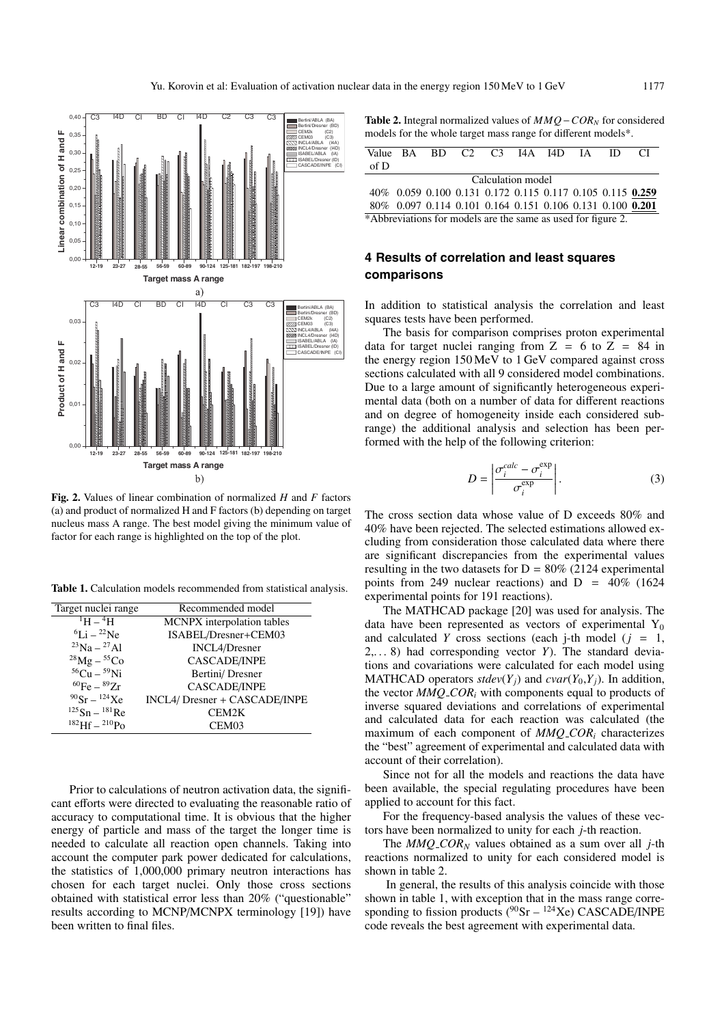

Fig. 2. Values of linear combination of normalized  $H$  and  $F$  factors (a) and product of normalized H and F factors (b) depending on target nucleus mass A range. The best model giving the minimum value of factor for each range is highlighted on the top of the plot.

Table 1. Calculation models recommended from statistical analysis.

| Target nuclei range        | Recommended model             |  |  |  |  |  |
|----------------------------|-------------------------------|--|--|--|--|--|
| $^{1}$ H $ ^{4}$ H $^{-}$  | MCNPX interpolation tables    |  |  |  |  |  |
| ${}^{6}$ Li – ${}^{22}$ Ne | ISABEL/Dresner+CEM03          |  |  |  |  |  |
| $^{23}Na - ^{27}Al$        | <b>INCL4/Dresner</b>          |  |  |  |  |  |
| $^{28}$ Mg – $^{55}$ Co    | <b>CASCADE/INPE</b>           |  |  |  |  |  |
| ${}^{56}Cu - {}^{59}Ni$    | Bertini/Dresner               |  |  |  |  |  |
| ${}^{60}Fe-{}^{89}Zr$      | <b>CASCADE/INPE</b>           |  |  |  |  |  |
| $^{90}$ Sr – $^{124}$ Xe   | INCL4/ Dresner + CASCADE/INPE |  |  |  |  |  |
| $125$ Sn – $181$ Re        | CEM2K                         |  |  |  |  |  |
| $182$ Hf $=$ $210$ Po      | CEM <sub>03</sub>             |  |  |  |  |  |

Prior to calculations of neutron activation data, the significant efforts were directed to evaluating the reasonable ratio of accuracy to computational time. It is obvious that the higher energy of particle and mass of the target the longer time is needed to calculate all reaction open channels. Taking into account the computer park power dedicated for calculations, the statistics of 1,000,000 primary neutron interactions has chosen for each target nuclei. Only those cross sections obtained with statistical error less than 20% ("questionable" results according to MCNP/MCNPX terminology [19]) have been written to final files.

**Table 2.** Integral normalized values of  $MMO - COR_N$  for considered models for the whole target mass range for different models\*.

|                                                              |  |  |  | Value BA BD C2 C3 I4A I4D IA ID                            |  |  |  |  | $\overline{C}$ |  |  |
|--------------------------------------------------------------|--|--|--|------------------------------------------------------------|--|--|--|--|----------------|--|--|
| of D                                                         |  |  |  |                                                            |  |  |  |  |                |  |  |
| Calculation model                                            |  |  |  |                                                            |  |  |  |  |                |  |  |
|                                                              |  |  |  | 40\% 0.059 0.100 0.131 0.172 0.115 0.117 0.105 0.115 0.259 |  |  |  |  |                |  |  |
|                                                              |  |  |  | 80\% 0.097 0.114 0.101 0.164 0.151 0.106 0.131 0.100 0.201 |  |  |  |  |                |  |  |
| *Abbreviations for models are the same as used for figure 2. |  |  |  |                                                            |  |  |  |  |                |  |  |

# 4 Results of correlation and least squares comparisons

In addition to statistical analysis the correlation and least squares tests have been performed.

The basis for comparison comprises proton experimental data for target nuclei ranging from  $Z = 6$  to  $Z = 84$  in the energy region 150 MeV to 1 GeV compared against cross sections calculated with all 9 considered model combinations. Due to a large amount of significantly heterogeneous experimental data (both on a number of data for different reactions and on degree of homogeneity inside each considered subrange) the additional analysis and selection has been performed with the help of the following criterion:

$$
D = \left| \frac{\sigma_i^{calc} - \sigma_i^{exp}}{\sigma_i^{exp}} \right|.
$$
 (3)

The cross section data whose value of D exceeds 80% and 40% have been rejected. The selected estimations allowed excluding from consideration those calculated data where there are significant discrepancies from the experimental values resulting in the two datasets for  $D = 80\%$  (2124 experimental points from 249 nuclear reactions) and  $D = 40\%$  (1624) experimental points for 191 reactions).

The MATHCAD package [20] was used for analysis. The data have been represented as vectors of experimental  $Y_0$ and calculated Y cross sections (each j-th model  $(j = 1,$  $2, \ldots 8$ ) had corresponding vector Y). The standard deviations and covariations were calculated for each model using MATHCAD operators stdev(Y<sub>i</sub>) and cvar(Y<sub>0</sub>,Y<sub>i</sub>). In addition, the vector  $MMQ\_COR_i$  with components equal to products of inverse squared deviations and correlations of experimental and calculated data for each reaction was calculated (the maximum of each component of  $MMQ\_COR_i$  characterizes the "best" agreement of experimental and calculated data with account of their correlation).

Since not for all the models and reactions the data have been available, the special regulating procedures have been applied to account for this fact.

For the frequency-based analysis the values of these vectors have been normalized to unity for each *j*-th reaction.

The  $MMQ\_COR_N$  values obtained as a sum over all *j*-th reactions normalized to unity for each considered model is shown in table 2.

In general, the results of this analysis coincide with those shown in table 1, with exception that in the mass range corresponding to fission products ( $\rm{^{90}Sr} - {^{124}Xe}$ ) CASCADE/INPE code reveals the best agreement with experimental data.